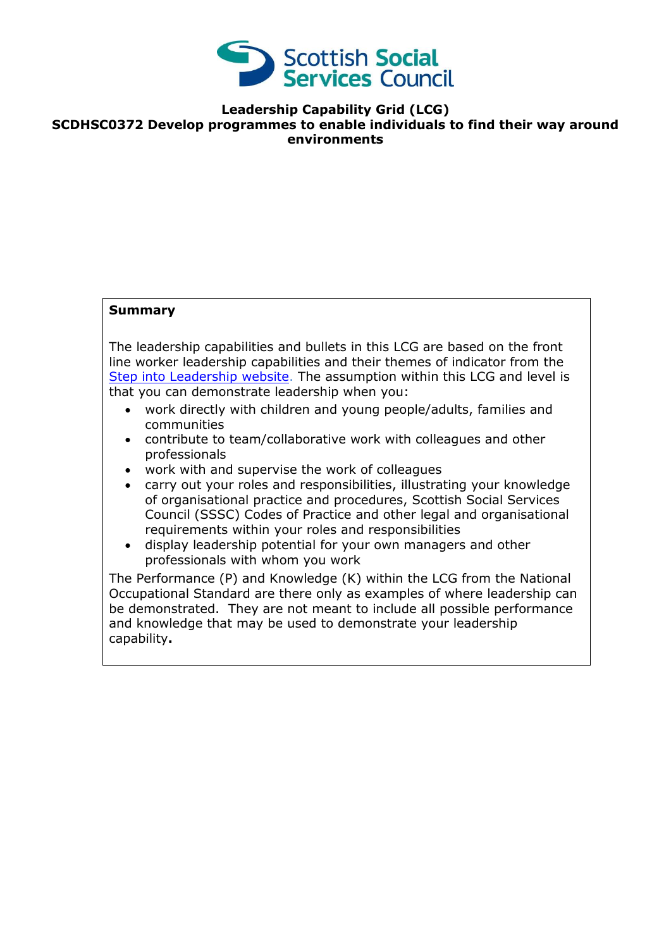

## **Leadership Capability Grid (LCG) SCDHSC0372 Develop programmes to enable individuals to find their way around environments**

## **Summary**

The leadership capabilities and bullets in this LCG are based on the front line worker leadership capabilities and their themes of indicator from the [Step into Leadership website.](http://www.stepintoleadership.info/) The assumption within this LCG and level is that you can demonstrate leadership when you:

- work directly with children and young people/adults, families and communities
- contribute to team/collaborative work with colleagues and other professionals
- work with and supervise the work of colleagues
- carry out your roles and responsibilities, illustrating your knowledge of organisational practice and procedures, Scottish Social Services Council (SSSC) Codes of Practice and other legal and organisational requirements within your roles and responsibilities
- display leadership potential for your own managers and other professionals with whom you work

The Performance (P) and Knowledge (K) within the LCG from the National Occupational Standard are there only as examples of where leadership can be demonstrated. They are not meant to include all possible performance and knowledge that may be used to demonstrate your leadership capability**.**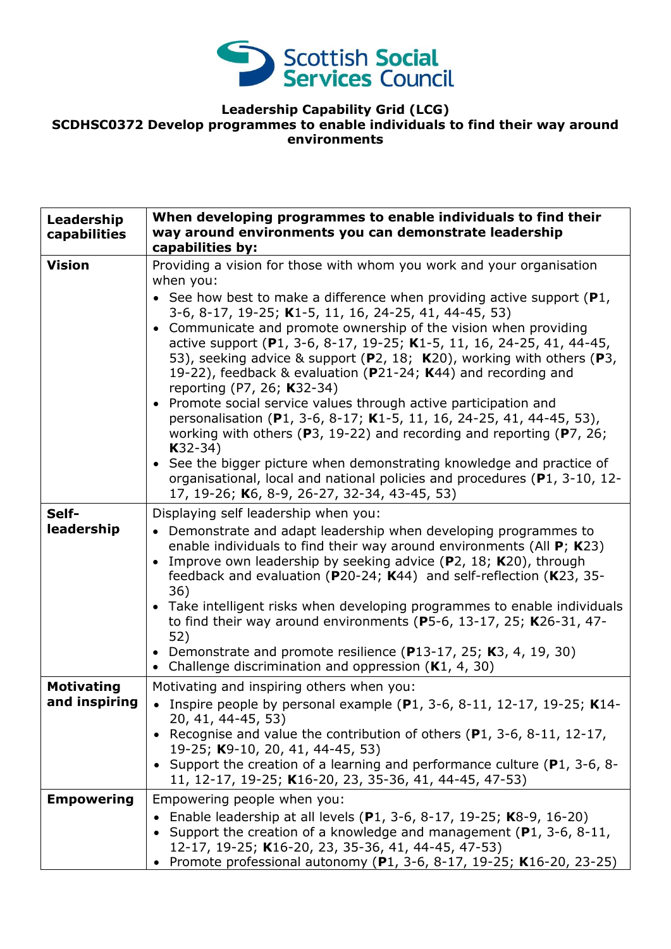

## **Leadership Capability Grid (LCG) SCDHSC0372 Develop programmes to enable individuals to find their way around environments**

| Leadership<br>capabilities         | When developing programmes to enable individuals to find their<br>way around environments you can demonstrate leadership<br>capabilities by:                                                                                                                                                                                                                                                                                                                                                                                                                                                                                                                                                                                                                                                                                                                                                                                              |
|------------------------------------|-------------------------------------------------------------------------------------------------------------------------------------------------------------------------------------------------------------------------------------------------------------------------------------------------------------------------------------------------------------------------------------------------------------------------------------------------------------------------------------------------------------------------------------------------------------------------------------------------------------------------------------------------------------------------------------------------------------------------------------------------------------------------------------------------------------------------------------------------------------------------------------------------------------------------------------------|
| <b>Vision</b>                      | Providing a vision for those with whom you work and your organisation<br>when you:<br>• See how best to make a difference when providing active support $(P1,$<br>3-6, 8-17, 19-25; K1-5, 11, 16, 24-25, 41, 44-45, 53)<br>• Communicate and promote ownership of the vision when providing<br>active support (P1, 3-6, 8-17, 19-25; K1-5, 11, 16, 24-25, 41, 44-45,<br>53), seeking advice & support (P2, 18; K20), working with others (P3,<br>19-22), feedback & evaluation (P21-24; K44) and recording and<br>reporting (P7, 26; K32-34)<br>Promote social service values through active participation and<br>personalisation (P1, 3-6, 8-17; K1-5, 11, 16, 24-25, 41, 44-45, 53),<br>working with others ( $P3$ , 19-22) and recording and reporting ( $P7$ , 26;<br>$K32-34)$<br>• See the bigger picture when demonstrating knowledge and practice of<br>organisational, local and national policies and procedures (P1, 3-10, 12- |
| Self-<br>leadership                | 17, 19-26; K6, 8-9, 26-27, 32-34, 43-45, 53)<br>Displaying self leadership when you:<br>• Demonstrate and adapt leadership when developing programmes to<br>enable individuals to find their way around environments (All $P$ ; K23)<br>Improve own leadership by seeking advice (P2, 18; K20), through<br>$\bullet$<br>feedback and evaluation ( $P20-24$ ; K44) and self-reflection (K23, 35-<br>36)<br>• Take intelligent risks when developing programmes to enable individuals<br>to find their way around environments ( $P5-6$ , 13-17, 25; K26-31, 47-<br>52)<br>• Demonstrate and promote resilience (P13-17, 25; K3, 4, 19, 30)<br>Challenge discrimination and oppression $(K1, 4, 30)$                                                                                                                                                                                                                                        |
| <b>Motivating</b><br>and inspiring | Motivating and inspiring others when you:<br>• Inspire people by personal example (P1, 3-6, 8-11, 12-17, 19-25; K14-<br>20, 41, 44-45, 53)<br>• Recognise and value the contribution of others ( $P1$ , 3-6, 8-11, 12-17,<br>19-25; K9-10, 20, 41, 44-45, 53)<br>• Support the creation of a learning and performance culture (P1, 3-6, 8-<br>11, 12-17, 19-25; K16-20, 23, 35-36, 41, 44-45, 47-53)                                                                                                                                                                                                                                                                                                                                                                                                                                                                                                                                      |
| <b>Empowering</b>                  | Empowering people when you:<br>Enable leadership at all levels (P1, 3-6, 8-17, 19-25; K8-9, 16-20)<br>Support the creation of a knowledge and management $(P1, 3-6, 8-11, 1)$<br>12-17, 19-25; K16-20, 23, 35-36, 41, 44-45, 47-53)<br>Promote professional autonomy (P1, 3-6, 8-17, 19-25; K16-20, 23-25)                                                                                                                                                                                                                                                                                                                                                                                                                                                                                                                                                                                                                                |